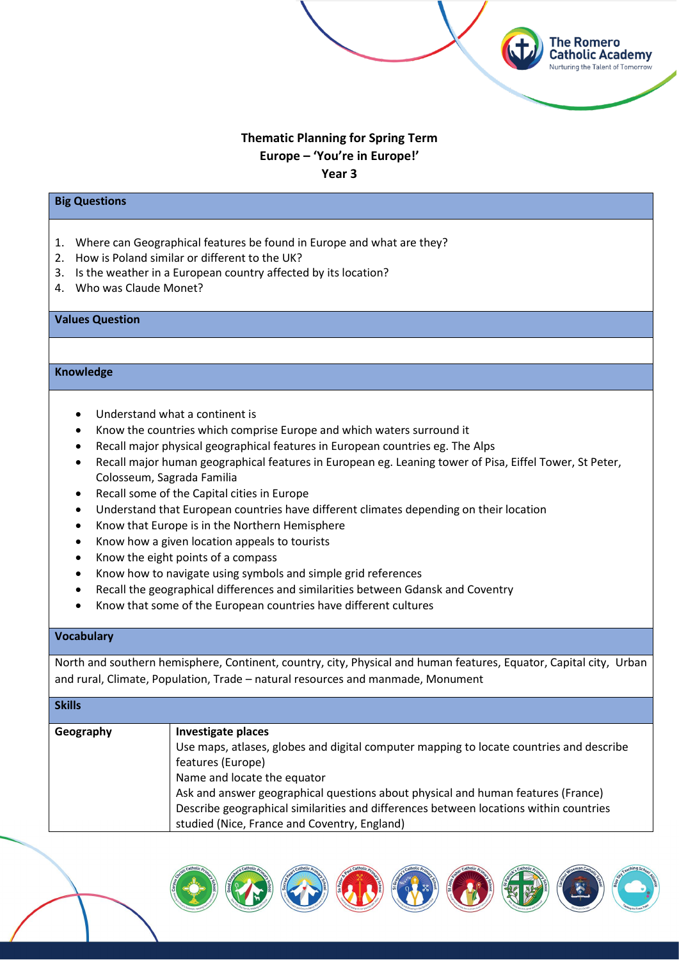# **Thematic Planning for Spring Term Europe – 'You're in Europe!' Year 3**

**The Romero Catholic Academy Nurturing the Talent of Tomorrow** 

#### **Big Questions**

- 1. Where can Geographical features be found in Europe and what are they?
- 2. How is Poland similar or different to the UK?
- 3. Is the weather in a European country affected by its location?
- 4. Who was Claude Monet?

## **Values Question**

## **Knowledge**

- Understand what a continent is
- Know the countries which comprise Europe and which waters surround it
- Recall major physical geographical features in European countries eg. The Alps
- Recall major human geographical features in European eg. Leaning tower of Pisa, Eiffel Tower, St Peter, Colosseum, Sagrada Familia
- Recall some of the Capital cities in Europe
- Understand that European countries have different climates depending on their location
- Know that Europe is in the Northern Hemisphere
- Know how a given location appeals to tourists
- Know the eight points of a compass
- Know how to navigate using symbols and simple grid references
- Recall the geographical differences and similarities between Gdansk and Coventry
- Know that some of the European countries have different cultures

## **Vocabulary**

North and southern hemisphere, Continent, country, city, Physical and human features, Equator, Capital city, Urban and rural, Climate, Population, Trade – natural resources and manmade, Monument

## **Skills**

| Geography | Investigate places                                                                      |
|-----------|-----------------------------------------------------------------------------------------|
|           | Use maps, atlases, globes and digital computer mapping to locate countries and describe |
|           | features (Europe)                                                                       |
|           | Name and locate the equator                                                             |
|           | Ask and answer geographical questions about physical and human features (France)        |
|           | Describe geographical similarities and differences between locations within countries   |
|           | studied (Nice, France and Coventry, England)                                            |